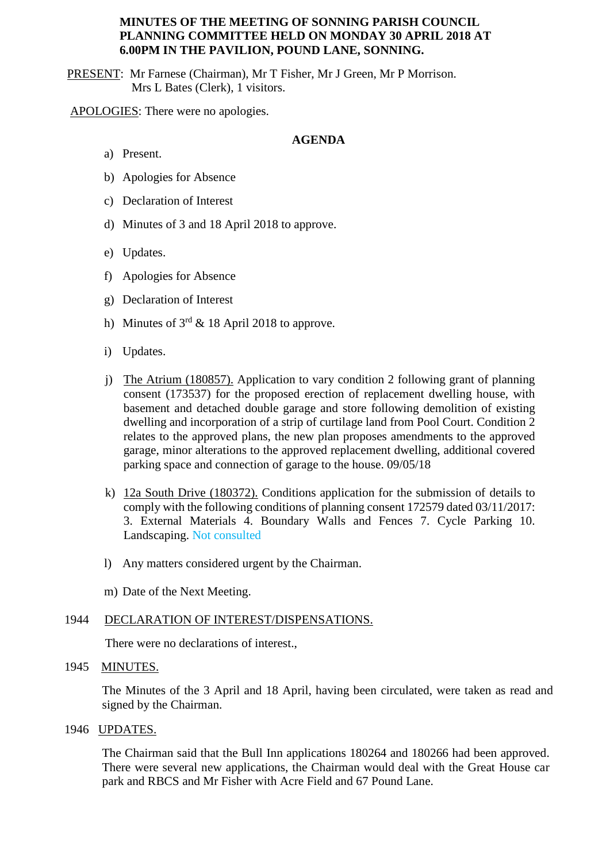### **MINUTES OF THE MEETING OF SONNING PARISH COUNCIL PLANNING COMMITTEE HELD ON MONDAY 30 APRIL 2018 AT 6.00PM IN THE PAVILION, POUND LANE, SONNING.**

PRESENT: Mr Farnese (Chairman), Mr T Fisher, Mr J Green, Mr P Morrison. Mrs L Bates (Clerk), 1 visitors.

APOLOGIES: There were no apologies.

# **AGENDA**

- a) Present.
- b) Apologies for Absence
- c) Declaration of Interest
- d) Minutes of 3 and 18 April 2018 to approve.
- e) Updates.
- f) Apologies for Absence
- g) Declaration of Interest
- h) Minutes of  $3<sup>rd</sup> \& 18$  April 2018 to approve.
- i) Updates.
- j) The Atrium (180857). Application to vary condition 2 following grant of planning consent (173537) for the proposed erection of replacement dwelling house, with basement and detached double garage and store following demolition of existing dwelling and incorporation of a strip of curtilage land from Pool Court. Condition 2 relates to the approved plans, the new plan proposes amendments to the approved garage, minor alterations to the approved replacement dwelling, additional covered parking space and connection of garage to the house. 09/05/18
- k) 12a South Drive (180372). Conditions application for the submission of details to comply with the following conditions of planning consent 172579 dated 03/11/2017: 3. External Materials 4. Boundary Walls and Fences 7. Cycle Parking 10. Landscaping. Not consulted
- l) Any matters considered urgent by the Chairman.
- m) Date of the Next Meeting.

#### 1944 DECLARATION OF INTEREST/DISPENSATIONS.

There were no declarations of interest.,

#### 1945 MINUTES.

The Minutes of the 3 April and 18 April, having been circulated, were taken as read and signed by the Chairman.

1946 UPDATES.

The Chairman said that the Bull Inn applications 180264 and 180266 had been approved. There were several new applications, the Chairman would deal with the Great House car park and RBCS and Mr Fisher with Acre Field and 67 Pound Lane.